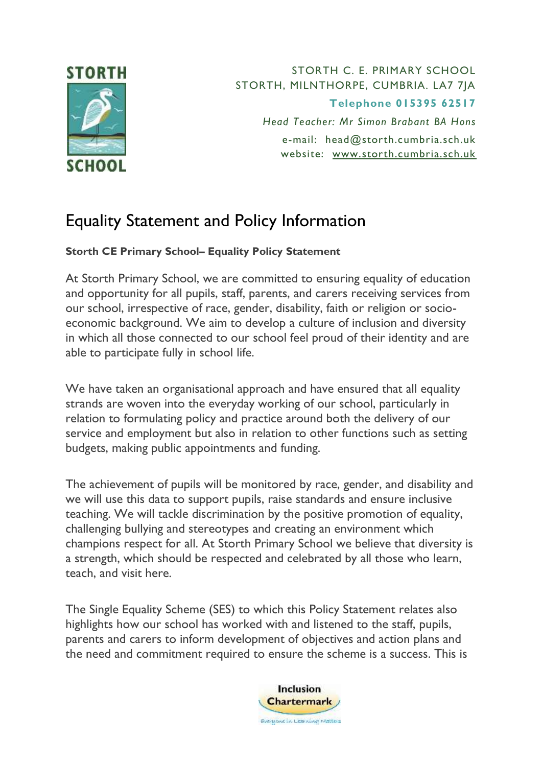

STORTH C. E. PRIMARY SCHOOL STORTH, MILNTHORPE, CUMBRIA. LA7 7JA **Telephone 015395 62517** *Head Teacher: Mr Simon Brabant BA Hons* e-mail: [head@storth.cumbria.sch.uk](mailto:head@storth.cumbria.sch.uk) website: [www.storth.cumbria.sch.uk](http://www.storth.cumbria.sch.uk/)

## Equality Statement and Policy Information

## **Storth CE Primary School– Equality Policy Statement**

At Storth Primary School, we are committed to ensuring equality of education and opportunity for all pupils, staff, parents, and carers receiving services from our school, irrespective of race, gender, disability, faith or religion or socioeconomic background. We aim to develop a culture of inclusion and diversity in which all those connected to our school feel proud of their identity and are able to participate fully in school life.

We have taken an organisational approach and have ensured that all equality strands are woven into the everyday working of our school, particularly in relation to formulating policy and practice around both the delivery of our service and employment but also in relation to other functions such as setting budgets, making public appointments and funding.

The achievement of pupils will be monitored by race, gender, and disability and we will use this data to support pupils, raise standards and ensure inclusive teaching. We will tackle discrimination by the positive promotion of equality, challenging bullying and stereotypes and creating an environment which champions respect for all. At Storth Primary School we believe that diversity is a strength, which should be respected and celebrated by all those who learn, teach, and visit here.

The Single Equality Scheme (SES) to which this Policy Statement relates also highlights how our school has worked with and listened to the staff, pupils, parents and carers to inform development of objectives and action plans and the need and commitment required to ensure the scheme is a success. This is